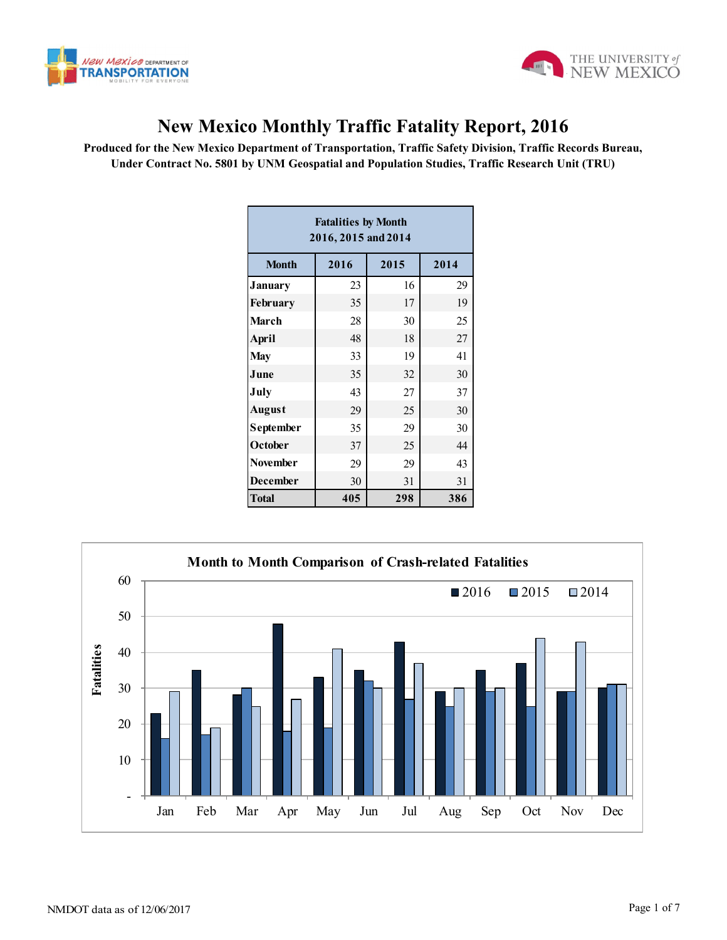



## **New Mexico Monthly Traffic Fatality Report, 2016**

**Produced for the New Mexico Department of Transportation, Traffic Safety Division, Traffic Records Bureau, Under Contract No. 5801 by UNM Geospatial and Population Studies, Traffic Research Unit (TRU)**

| <b>Fatalities by Month</b><br>2016, 2015 and 2014 |      |      |      |  |  |  |  |  |  |
|---------------------------------------------------|------|------|------|--|--|--|--|--|--|
| <b>Month</b>                                      | 2016 | 2015 | 2014 |  |  |  |  |  |  |
| <b>January</b>                                    | 23   | 16   | 29   |  |  |  |  |  |  |
| <b>February</b>                                   | 35   | 17   | 19   |  |  |  |  |  |  |
| March                                             | 28   | 30   | 25   |  |  |  |  |  |  |
| April                                             | 48   | 18   | 27   |  |  |  |  |  |  |
| <b>May</b>                                        | 33   | 19   | 41   |  |  |  |  |  |  |
| June                                              | 35   | 32   | 30   |  |  |  |  |  |  |
| July                                              | 43   | 27   | 37   |  |  |  |  |  |  |
| <b>August</b>                                     | 29   | 25   | 30   |  |  |  |  |  |  |
| September                                         | 35   | 29   | 30   |  |  |  |  |  |  |
| October                                           | 37   | 25   | 44   |  |  |  |  |  |  |
| <b>November</b>                                   | 29   | 29   | 43   |  |  |  |  |  |  |
| <b>December</b>                                   | 30   | 31   | 31   |  |  |  |  |  |  |
| <b>Total</b>                                      | 405  | 298  | 386  |  |  |  |  |  |  |

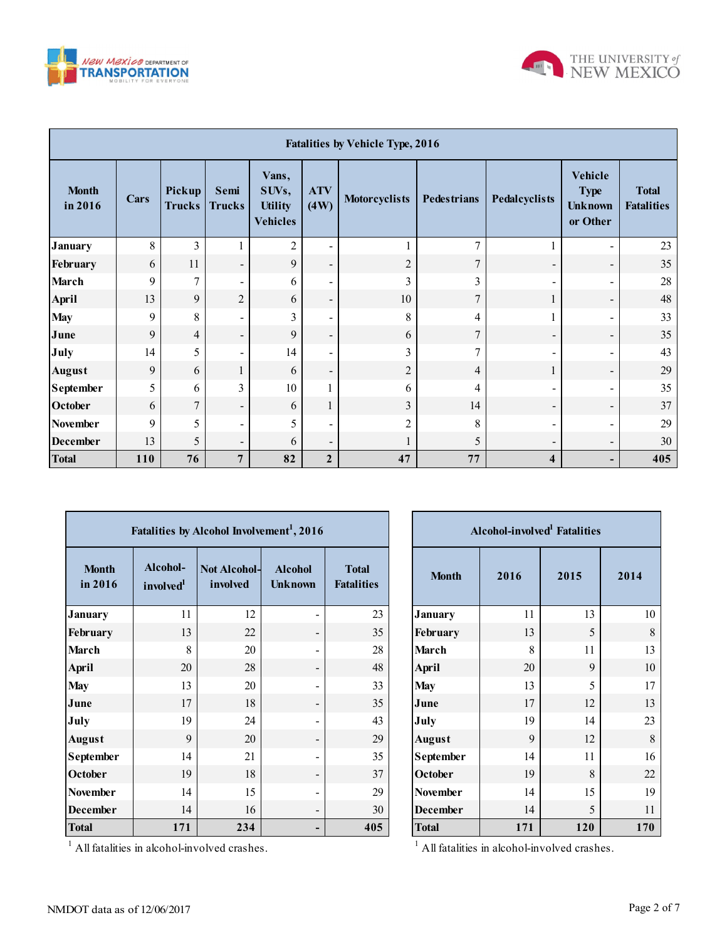



| <b>Fatalities by Vehicle Type, 2016</b> |      |                         |                          |                                                     |                          |                      |                    |                          |                                                             |                                   |
|-----------------------------------------|------|-------------------------|--------------------------|-----------------------------------------------------|--------------------------|----------------------|--------------------|--------------------------|-------------------------------------------------------------|-----------------------------------|
| <b>Month</b><br>in 2016                 | Cars | Pickup<br><b>Trucks</b> | Semi<br><b>Trucks</b>    | Vans,<br>SUVs,<br><b>Utility</b><br><b>Vehicles</b> | <b>ATV</b><br>(4W)       | <b>Motorcyclists</b> | <b>Pedestrians</b> | Pedalcyclists            | <b>Vehicle</b><br><b>Type</b><br><b>Unknown</b><br>or Other | <b>Total</b><br><b>Fatalities</b> |
| <b>January</b>                          | 8    | 3                       |                          | $\overline{c}$                                      | $\blacksquare$           |                      | $\mathcal{I}$      |                          | $\blacksquare$                                              | 23                                |
| February                                | 6    | 11                      | $\overline{\phantom{a}}$ | 9                                                   | $\overline{\phantom{a}}$ | $\overline{2}$       | $\overline{7}$     | $\overline{\phantom{a}}$ | $\overline{\phantom{a}}$                                    | 35                                |
| <b>March</b>                            | 9    | $\overline{7}$          | $\overline{\phantom{a}}$ | 6                                                   | ۰                        | 3                    | 3                  |                          | -                                                           | 28                                |
| <b>April</b>                            | 13   | 9                       | $\overline{2}$           | 6                                                   | $\overline{\phantom{a}}$ | 10                   | 7                  | 1                        | $\overline{\phantom{0}}$                                    | 48                                |
| <b>May</b>                              | 9    | 8                       | $\overline{\phantom{a}}$ | 3                                                   | $\overline{\phantom{a}}$ | 8                    | 4                  |                          | $\blacksquare$                                              | 33                                |
| June                                    | 9    | $\overline{4}$          | $\overline{\phantom{a}}$ | 9                                                   | $\overline{\phantom{a}}$ | 6                    | $\overline{7}$     | $\overline{\phantom{a}}$ | $\overline{\phantom{a}}$                                    | 35                                |
| July                                    | 14   | 5                       | $\overline{\phantom{0}}$ | 14                                                  | $\blacksquare$           | 3                    | $\tau$             | $\qquad \qquad$          | ۰                                                           | 43                                |
| <b>August</b>                           | 9    | 6                       | $\mathbf{1}$             | 6                                                   | $\overline{\phantom{a}}$ | $\overline{2}$       | $\overline{4}$     | 1                        | -                                                           | 29                                |
| <b>September</b>                        | 5    | 6                       | 3                        | 10                                                  |                          | 6                    | 4                  | $\overline{\phantom{a}}$ | $\qquad \qquad \blacksquare$                                | 35                                |
| October                                 | 6    | $\overline{7}$          | -                        | 6                                                   |                          | 3                    | 14                 | $\overline{\phantom{a}}$ | $\overline{\phantom{a}}$                                    | 37                                |
| November                                | 9    | 5                       | $\overline{\phantom{a}}$ | 5                                                   | -                        | $\overline{2}$       | 8                  | $\overline{\phantom{a}}$ | -                                                           | 29                                |
| <b>December</b>                         | 13   | 5                       | $\overline{\phantom{0}}$ | 6                                                   | $\overline{\phantom{a}}$ |                      | 5                  | $\overline{\phantom{a}}$ | -                                                           | 30                                |
| <b>Total</b>                            | 110  | 76                      | $\overline{7}$           | 82                                                  | $\mathbf{2}$             | 47                   | 77                 | $\overline{\mathbf{4}}$  | -                                                           | 405                               |

| Fatalities by Alcohol Involvement <sup>1</sup> , 2016 |                                   |                                 |                                  |                                   |  |  |  |  |  |  |
|-------------------------------------------------------|-----------------------------------|---------------------------------|----------------------------------|-----------------------------------|--|--|--|--|--|--|
| <b>Month</b><br>in 2016                               | Alcohol-<br>involved <sup>1</sup> | <b>Not Alcohol-</b><br>involved | <b>Alcohol</b><br><b>Unknown</b> | <b>Total</b><br><b>Fatalities</b> |  |  |  |  |  |  |
| <b>January</b>                                        | 11                                | 12                              | $\qquad \qquad \blacksquare$     | 23                                |  |  |  |  |  |  |
| February                                              | 13                                | 22                              |                                  | 35                                |  |  |  |  |  |  |
| <b>March</b>                                          | 8                                 | 20                              |                                  | 28                                |  |  |  |  |  |  |
| <b>April</b>                                          | 20                                | 28                              |                                  | 48                                |  |  |  |  |  |  |
| <b>May</b>                                            | 13                                | 20                              |                                  | 33                                |  |  |  |  |  |  |
| June                                                  | 17                                | 18                              |                                  | 35                                |  |  |  |  |  |  |
| July                                                  | 19                                | 24                              |                                  | 43                                |  |  |  |  |  |  |
| <b>August</b>                                         | 9                                 | 20                              |                                  | 29                                |  |  |  |  |  |  |
| September                                             | 14                                | 21                              |                                  | 35                                |  |  |  |  |  |  |
| October                                               | 19                                | 18                              |                                  | 37                                |  |  |  |  |  |  |
| <b>November</b>                                       | 14                                | 15                              | $\overline{\phantom{0}}$         | 29                                |  |  |  |  |  |  |
| <b>December</b>                                       | 14                                | 16                              |                                  | 30                                |  |  |  |  |  |  |
| <b>Total</b>                                          | 171                               | 234                             |                                  | 405                               |  |  |  |  |  |  |

| <b>Alcohol-involved</b> Fatalities |      |      |      |  |  |  |  |  |
|------------------------------------|------|------|------|--|--|--|--|--|
| <b>Month</b>                       | 2016 | 2015 | 2014 |  |  |  |  |  |
| <b>January</b>                     | 11   | 13   | 10   |  |  |  |  |  |
| February                           | 13   | 5    | 8    |  |  |  |  |  |
| <b>March</b>                       | 8    | 11   | 13   |  |  |  |  |  |
| <b>April</b>                       | 20   | 9    | 10   |  |  |  |  |  |
| <b>May</b>                         | 13   | 5    | 17   |  |  |  |  |  |
| June                               | 17   | 12   | 13   |  |  |  |  |  |
| July                               | 19   | 14   | 23   |  |  |  |  |  |
| <b>August</b>                      | 9    | 12   | 8    |  |  |  |  |  |
| September                          | 14   | 11   | 16   |  |  |  |  |  |
| October                            | 19   | 8    | 22   |  |  |  |  |  |
| <b>November</b>                    | 14   | 15   | 19   |  |  |  |  |  |
| <b>December</b>                    | 14   | 5    | 11   |  |  |  |  |  |
| <b>Total</b>                       | 171  | 120  | 170  |  |  |  |  |  |

<sup>1</sup> All fatalities in alcohol-involved crashes.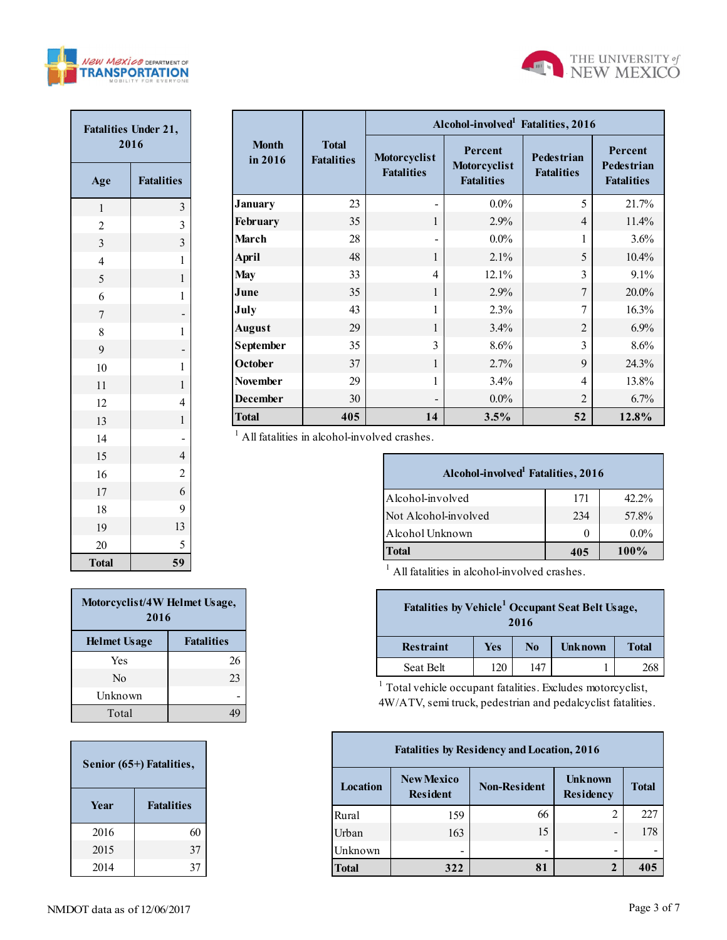



| <b>Fatalities Under 21,</b><br>2016 |                         |  |  |  |  |
|-------------------------------------|-------------------------|--|--|--|--|
| Age                                 | <b>Fatalities</b>       |  |  |  |  |
| $\mathbf{1}$                        | 3                       |  |  |  |  |
| $\overline{c}$                      | $\overline{\mathbf{3}}$ |  |  |  |  |
| 3                                   | $\overline{\mathbf{3}}$ |  |  |  |  |
| $\overline{4}$                      | $\mathbf{1}$            |  |  |  |  |
| 5                                   | $\mathbf{1}$            |  |  |  |  |
| 6                                   | $\mathbf 1$             |  |  |  |  |
| $\overline{7}$                      |                         |  |  |  |  |
| 8                                   | $\mathbf 1$             |  |  |  |  |
| 9                                   |                         |  |  |  |  |
| 10                                  | 1                       |  |  |  |  |
| 11                                  | $\mathbf{1}$            |  |  |  |  |
| 12                                  | $\overline{4}$          |  |  |  |  |
| 13                                  | $\mathbf{1}$            |  |  |  |  |
| 14                                  |                         |  |  |  |  |
| 15                                  | $\overline{4}$          |  |  |  |  |
| 16                                  | $\overline{c}$          |  |  |  |  |
| 17                                  | 6                       |  |  |  |  |
| 18                                  | 9                       |  |  |  |  |
| 19                                  | 13                      |  |  |  |  |
| 20                                  | 5                       |  |  |  |  |
| <b>Total</b>                        | 59                      |  |  |  |  |

|                                                 |                                   |                                                                                   | Alcohol-involved <sup>1</sup> Fatalities, 2016                                                                                        |      |                                        |                                                   |                                                   |  |  |  |  |  |  |  |
|-------------------------------------------------|-----------------------------------|-----------------------------------------------------------------------------------|---------------------------------------------------------------------------------------------------------------------------------------|------|----------------------------------------|---------------------------------------------------|---------------------------------------------------|--|--|--|--|--|--|--|
| <b>Month</b><br>in 2016                         | <b>Total</b><br><b>Fatalities</b> | Percent<br>Motorcyclist<br>Motorcyclist<br><b>Fatalities</b><br><b>Fatalities</b> |                                                                                                                                       |      | <b>Pedestrian</b><br><b>Fatalities</b> |                                                   | Percent<br><b>Pedestrian</b><br><b>Fatalities</b> |  |  |  |  |  |  |  |
| <b>January</b>                                  | 23                                |                                                                                   | $0.0\%$                                                                                                                               |      | 5                                      |                                                   | 21.7%                                             |  |  |  |  |  |  |  |
| February                                        | 35                                | $\mathbf{1}$                                                                      | 2.9%                                                                                                                                  |      | 4                                      |                                                   | 11.4%                                             |  |  |  |  |  |  |  |
| March                                           | 28                                |                                                                                   | $0.0\%$                                                                                                                               |      | 1                                      |                                                   | 3.6%                                              |  |  |  |  |  |  |  |
| <b>April</b>                                    | 48                                | 1                                                                                 | 2.1%                                                                                                                                  |      | 5                                      |                                                   | 10.4%                                             |  |  |  |  |  |  |  |
| <b>May</b>                                      | 33                                | 4                                                                                 | 12.1%                                                                                                                                 |      | 3                                      |                                                   | 9.1%                                              |  |  |  |  |  |  |  |
| June                                            | 35                                | 1                                                                                 | 2.9%                                                                                                                                  |      | $\tau$                                 |                                                   | 20.0%                                             |  |  |  |  |  |  |  |
| July                                            | 43                                | 1                                                                                 | 2.3%                                                                                                                                  |      | 7                                      |                                                   | 16.3%                                             |  |  |  |  |  |  |  |
| <b>August</b>                                   | 29                                | 1                                                                                 | 3.4%                                                                                                                                  |      | 2                                      |                                                   | 6.9%                                              |  |  |  |  |  |  |  |
| September                                       | 35                                | 3                                                                                 | 8.6%                                                                                                                                  |      | $\overline{3}$                         |                                                   | 8.6%                                              |  |  |  |  |  |  |  |
| October                                         | 37                                | 1                                                                                 | 2.7%                                                                                                                                  |      | 9                                      |                                                   | 24.3%                                             |  |  |  |  |  |  |  |
| <b>November</b>                                 | 29                                | 1                                                                                 | 3.4%                                                                                                                                  |      | 4                                      |                                                   | 13.8%                                             |  |  |  |  |  |  |  |
| <b>December</b>                                 | 30                                |                                                                                   | $0.0\%$                                                                                                                               |      | $\overline{2}$                         |                                                   | 6.7%                                              |  |  |  |  |  |  |  |
| <b>Total</b>                                    | 405                               | 14                                                                                | 3.5%                                                                                                                                  |      | 52                                     |                                                   | 12.8%                                             |  |  |  |  |  |  |  |
| $1$ All fatalities in alcohol-involved crashes. |                                   |                                                                                   |                                                                                                                                       |      |                                        |                                                   |                                                   |  |  |  |  |  |  |  |
|                                                 |                                   |                                                                                   | Alcohol-involved <sup>1</sup> Fatalities, 2016                                                                                        |      |                                        |                                                   |                                                   |  |  |  |  |  |  |  |
|                                                 |                                   | Alcohol-involved                                                                  |                                                                                                                                       |      | 171                                    |                                                   | 42.2%                                             |  |  |  |  |  |  |  |
|                                                 |                                   | Not Alcohol-involved                                                              |                                                                                                                                       |      | 234                                    |                                                   | 57.8%                                             |  |  |  |  |  |  |  |
|                                                 |                                   | Alcohol Unknown                                                                   |                                                                                                                                       |      | $\theta$                               |                                                   | $0.0\%$                                           |  |  |  |  |  |  |  |
|                                                 |                                   | <b>Total</b>                                                                      |                                                                                                                                       |      | 405                                    |                                                   | 100%                                              |  |  |  |  |  |  |  |
|                                                 |                                   |                                                                                   | All fatalities in alcohol-involved crashes.                                                                                           |      |                                        |                                                   |                                                   |  |  |  |  |  |  |  |
| ۱,                                              |                                   |                                                                                   | Fatalities by Vehicle <sup>1</sup> Occupant Seat Belt Usage,                                                                          | 2016 |                                        |                                                   |                                                   |  |  |  |  |  |  |  |
|                                                 |                                   | <b>Restraint</b><br><b>Unknown</b><br><b>Yes</b><br>N <sub>o</sub>                |                                                                                                                                       |      |                                        |                                                   | <b>Total</b>                                      |  |  |  |  |  |  |  |
| 26                                              |                                   | Seat Belt                                                                         | 120                                                                                                                                   | 147  |                                        | 1                                                 | 268                                               |  |  |  |  |  |  |  |
| $^{23}$<br>19                                   |                                   |                                                                                   | <sup>1</sup> Total vehicle occupant fatalities. Excludes motorcyclist,<br>4W/ATV, semi truck, pedestrian and pedalcyclist fatalities. |      |                                        |                                                   |                                                   |  |  |  |  |  |  |  |
|                                                 |                                   |                                                                                   |                                                                                                                                       |      |                                        | <b>Fatalities by Residency and Location, 2016</b> |                                                   |  |  |  |  |  |  |  |

| Alcohol-involved <sup>1</sup> Fatalities, 2016 |     |          |  |  |  |  |  |  |  |
|------------------------------------------------|-----|----------|--|--|--|--|--|--|--|
| Alcohol-involved                               | 171 | $42.2\%$ |  |  |  |  |  |  |  |
| Not Alcohol-involved                           | 234 | 57.8%    |  |  |  |  |  |  |  |
| Alcohol Unknown                                | 0   | $0.0\%$  |  |  |  |  |  |  |  |
| <b>Total</b>                                   | 405 | $100\%$  |  |  |  |  |  |  |  |

| Fatalities by Vehicle <sup>1</sup> Occupant Seat Belt Usage,<br>2016 |     |                |                |              |  |  |  |
|----------------------------------------------------------------------|-----|----------------|----------------|--------------|--|--|--|
| <b>Restraint</b>                                                     | Yes | N <sub>0</sub> | <b>Unknown</b> | <b>Total</b> |  |  |  |
| Seat Belt                                                            | 120 | 147            |                |              |  |  |  |

| <b>Fatalities by Residency and Location, 2016</b> |                                      |                                    |              |     |  |  |  |  |
|---------------------------------------------------|--------------------------------------|------------------------------------|--------------|-----|--|--|--|--|
| Location                                          | <b>New Mexico</b><br><b>Resident</b> | <b>Unknown</b><br><b>Residency</b> | <b>Total</b> |     |  |  |  |  |
| Rural                                             | 159                                  | 66                                 | 2            | 227 |  |  |  |  |
| Urban                                             | 163                                  | 15                                 | -            | 178 |  |  |  |  |
| Unknown                                           |                                      | -                                  | -            |     |  |  |  |  |
| <b>Total</b>                                      | 322                                  | 81                                 | 2            | 405 |  |  |  |  |

| Motorcyclist/4W Helmet Usage,<br>2016 |                   |  |  |  |  |  |
|---------------------------------------|-------------------|--|--|--|--|--|
| <b>Helmet Usage</b>                   | <b>Fatalities</b> |  |  |  |  |  |
| Yes                                   | 26                |  |  |  |  |  |
| $\rm No$                              | 23                |  |  |  |  |  |
| Unknown                               |                   |  |  |  |  |  |
| Total                                 |                   |  |  |  |  |  |

| Senior (65+) Fatalities, |                   |  |  |  |  |  |
|--------------------------|-------------------|--|--|--|--|--|
| <b>Year</b>              | <b>Fatalities</b> |  |  |  |  |  |
| 2016                     | 60                |  |  |  |  |  |
| 2015                     | 37                |  |  |  |  |  |
| 2014                     | 37                |  |  |  |  |  |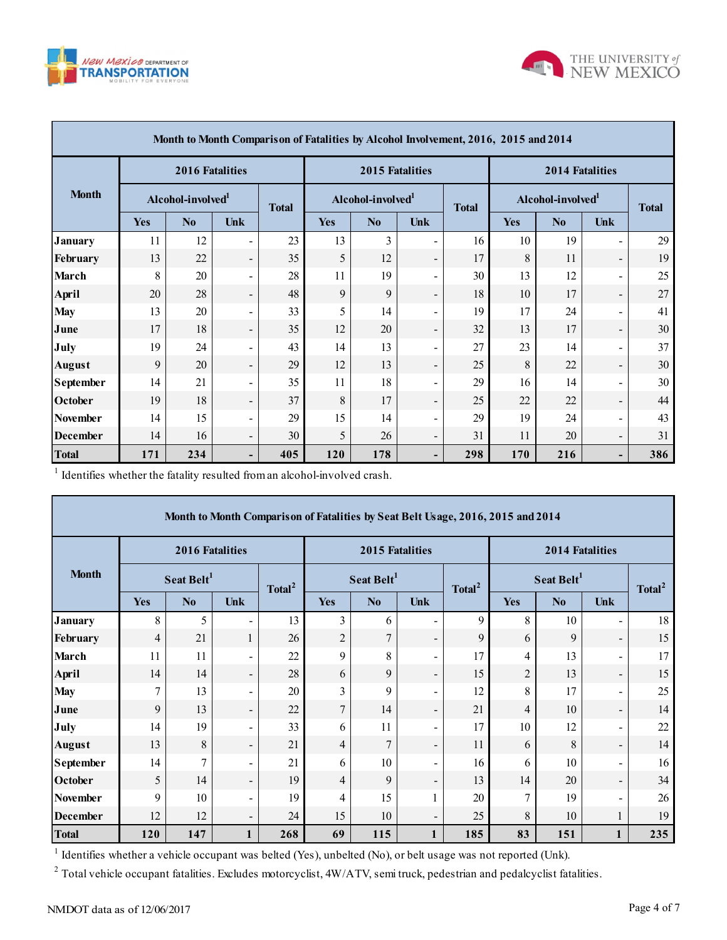



| Month to Month Comparison of Fatalities by Alcohol Involvement, 2016, 2015 and 2014 |                               |                        |                          |     |                               |                        |                          |     |                               |                        |                              |     |
|-------------------------------------------------------------------------------------|-------------------------------|------------------------|--------------------------|-----|-------------------------------|------------------------|--------------------------|-----|-------------------------------|------------------------|------------------------------|-----|
|                                                                                     |                               | <b>2016 Fatalities</b> |                          |     |                               | <b>2015 Fatalities</b> |                          |     |                               | <b>2014 Fatalities</b> |                              |     |
| <b>Month</b>                                                                        | Alcohol-involved <sup>1</sup> |                        | <b>Total</b>             |     | Alcohol-involved <sup>1</sup> |                        | <b>Total</b>             |     | Alcohol-involved <sup>1</sup> |                        | <b>Total</b>                 |     |
|                                                                                     | <b>Yes</b>                    | N <sub>0</sub>         | Unk                      |     | <b>Yes</b>                    | N <sub>0</sub>         | Unk                      |     | <b>Yes</b>                    | N <sub>0</sub>         | Unk                          |     |
| <b>January</b>                                                                      | 11                            | 12                     | -                        | 23  | 13                            | 3                      | $\blacksquare$           | 16  | 10                            | 19                     | $\blacksquare$               | 29  |
| February                                                                            | 13                            | 22                     | -                        | 35  | 5                             | 12                     | $\overline{\phantom{a}}$ | 17  | 8                             | 11                     | $\overline{\phantom{a}}$     | 19  |
| <b>March</b>                                                                        | 8                             | 20                     | Ξ.                       | 28  | 11                            | 19                     | -                        | 30  | 13                            | 12                     | $\overline{\phantom{a}}$     | 25  |
| <b>April</b>                                                                        | 20                            | 28                     | $\overline{\phantom{0}}$ | 48  | 9                             | 9                      | $\overline{\phantom{a}}$ | 18  | 10                            | 17                     | $\overline{\phantom{a}}$     | 27  |
| <b>May</b>                                                                          | 13                            | 20                     | Ξ.                       | 33  | 5                             | 14                     | Ξ.                       | 19  | 17                            | 24                     | $\blacksquare$               | 41  |
| June                                                                                | 17                            | 18                     | $\overline{\phantom{0}}$ | 35  | 12                            | 20                     | $\overline{\phantom{0}}$ | 32  | 13                            | 17                     | $\overline{\phantom{a}}$     | 30  |
| July                                                                                | 19                            | 24                     | $\overline{\phantom{0}}$ | 43  | 14                            | 13                     | $\overline{\phantom{a}}$ | 27  | 23                            | 14                     | $\blacksquare$               | 37  |
| <b>August</b>                                                                       | 9                             | 20                     | $\overline{\phantom{0}}$ | 29  | 12                            | 13                     | $\overline{\phantom{a}}$ | 25  | 8                             | 22                     | $\overline{\phantom{a}}$     | 30  |
| <b>September</b>                                                                    | 14                            | 21                     | Ξ.                       | 35  | 11                            | 18                     | $\overline{\phantom{a}}$ | 29  | 16                            | 14                     | $\overline{\phantom{a}}$     | 30  |
| October                                                                             | 19                            | 18                     | $\overline{\phantom{0}}$ | 37  | 8                             | 17                     | $\overline{\phantom{a}}$ | 25  | 22                            | 22                     | $\overline{\phantom{a}}$     | 44  |
| <b>November</b>                                                                     | 14                            | 15                     | Ξ.                       | 29  | 15                            | 14                     | $\blacksquare$           | 29  | 19                            | 24                     | $\blacksquare$               | 43  |
| <b>December</b>                                                                     | 14                            | 16                     | $\overline{\phantom{0}}$ | 30  | 5                             | 26                     | $\overline{\phantom{a}}$ | 31  | 11                            | 20                     | $\overline{\phantom{a}}$     | 31  |
| <b>Total</b>                                                                        | 171                           | 234                    | -                        | 405 | 120                           | 178                    | -                        | 298 | 170                           | 216                    | $\qquad \qquad \blacksquare$ | 386 |

 $1$  Identifies whether the fatality resulted from an alcohol-involved crash.

|                                                                                                                           | Month to Month Comparison of Fatalities by Seat Belt Usage, 2016, 2015 and 2014 |                        |                          |                    |                |                        |                              |                    |                        |                        |                          |                    |  |
|---------------------------------------------------------------------------------------------------------------------------|---------------------------------------------------------------------------------|------------------------|--------------------------|--------------------|----------------|------------------------|------------------------------|--------------------|------------------------|------------------------|--------------------------|--------------------|--|
| <b>Month</b>                                                                                                              |                                                                                 | <b>2016 Fatalities</b> |                          |                    |                | <b>2015 Fatalities</b> |                              |                    | <b>2014 Fatalities</b> |                        |                          |                    |  |
|                                                                                                                           |                                                                                 | Seat Belt <sup>1</sup> |                          | Total <sup>2</sup> |                | Seat Belt <sup>1</sup> |                              | Total <sup>2</sup> |                        | Seat Belt <sup>1</sup> |                          | Total <sup>2</sup> |  |
|                                                                                                                           | Yes                                                                             | N <sub>0</sub>         | <b>Unk</b>               |                    | <b>Yes</b>     | N <sub>0</sub>         | Unk                          |                    | <b>Yes</b>             | N <sub>0</sub>         | <b>Unk</b>               |                    |  |
| <b>January</b>                                                                                                            | 8                                                                               | 5                      |                          | 13                 | 3              | 6                      | $\overline{\phantom{a}}$     | 9                  | 8                      | 10                     | $\overline{\phantom{a}}$ | 18                 |  |
| February                                                                                                                  | $\overline{4}$                                                                  | 21                     | 1                        | 26                 | $\overline{2}$ | 7                      | $\overline{\phantom{a}}$     | 9                  | 6                      | 9                      | $\overline{\phantom{a}}$ | 15                 |  |
| <b>March</b>                                                                                                              | 11                                                                              | 11                     |                          | 22                 | 9              | 8                      | $\overline{\phantom{a}}$     | 17                 | 4                      | 13                     | $\blacksquare$           | 17                 |  |
| April                                                                                                                     | 14                                                                              | 14                     | $\overline{\phantom{a}}$ | 28                 | 6              | 9                      | $\overline{\phantom{a}}$     | 15                 | $\overline{2}$         | 13                     | $\overline{\phantom{a}}$ | 15                 |  |
| <b>May</b>                                                                                                                |                                                                                 | 13                     | ٠                        | 20                 | 3              | 9                      | $\overline{\phantom{a}}$     | 12                 | 8                      | 17                     | $\overline{\phantom{a}}$ | 25                 |  |
| June                                                                                                                      | 9                                                                               | 13                     | $\overline{\phantom{a}}$ | 22                 | $\overline{7}$ | 14                     | $\overline{\phantom{a}}$     | 21                 | 4                      | 10                     | $\overline{\phantom{a}}$ | 14                 |  |
| July                                                                                                                      | 14                                                                              | 19                     | ٠                        | 33                 | 6              | 11                     | $\overline{\phantom{a}}$     | 17                 | 10                     | 12                     | $\blacksquare$           | 22                 |  |
| <b>August</b>                                                                                                             | 13                                                                              | 8                      | $\overline{\phantom{a}}$ | 21                 | $\overline{4}$ | $\overline{7}$         | $\qquad \qquad \blacksquare$ | 11                 | 6                      | 8                      | $\overline{\phantom{a}}$ | 14                 |  |
| <b>September</b>                                                                                                          | 14                                                                              | 7                      | ۰                        | 21                 | 6              | 10                     | $\blacksquare$               | 16                 | 6                      | 10                     | $\overline{\phantom{a}}$ | 16                 |  |
| October                                                                                                                   | 5                                                                               | 14                     | $\overline{\phantom{a}}$ | 19                 | $\overline{4}$ | 9                      | $\overline{\phantom{a}}$     | 13                 | 14                     | 20                     | $\overline{\phantom{a}}$ | 34                 |  |
| <b>November</b>                                                                                                           | 9                                                                               | 10                     | ۰                        | 19                 | 4              | 15                     | 1                            | 20                 | 7                      | 19                     | $\blacksquare$           | 26                 |  |
| <b>December</b>                                                                                                           | 12                                                                              | 12                     | $\overline{\phantom{a}}$ | 24                 | 15             | 10                     | $\overline{\phantom{a}}$     | 25                 | 8                      | 10                     | 1                        | 19                 |  |
| <b>Total</b>                                                                                                              | 120                                                                             | 147                    | 1                        | 268                | 69             | 115                    | $\mathbf{1}$                 | 185                | 83                     | 151                    | 1                        | 235                |  |
| <sup>1</sup> Identifies whether a vehicle occupant was belted (Yes), unbelted (No), or belt usage was not reported (Unk). |                                                                                 |                        |                          |                    |                |                        |                              |                    |                        |                        |                          |                    |  |

<sup>2</sup> Total vehicle occupant fatalities. Excludes motorcyclist,  $4W/ATV$ , semi truck, pedestrian and pedalcyclist fatalities.

Г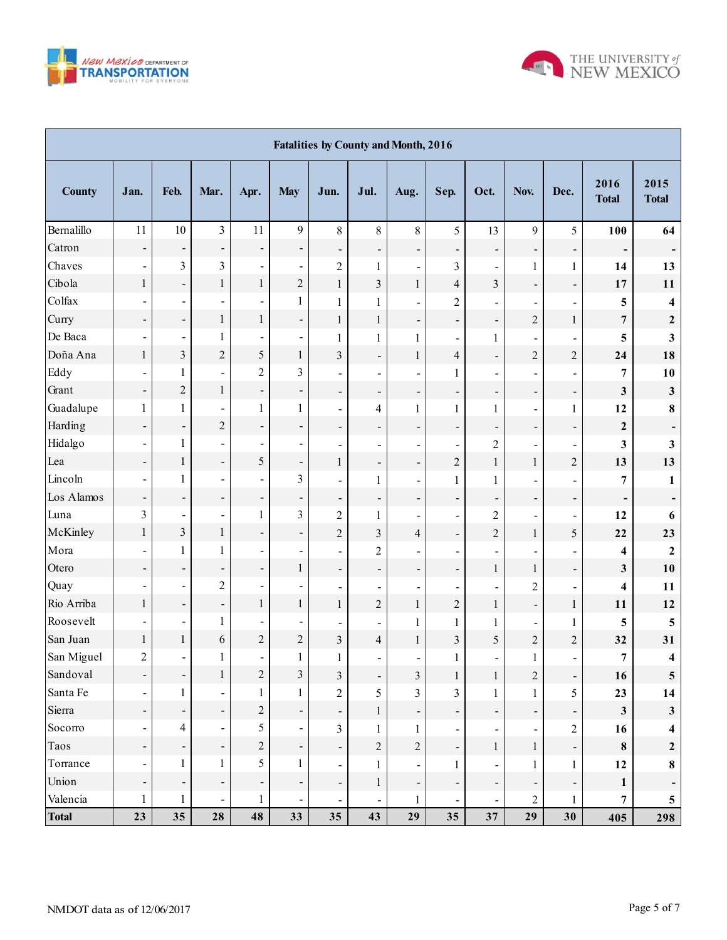



| <b>Fatalities by County and Month, 2016</b> |                          |                          |                              |                          |                              |                              |                              |                              |                              |                          |                          |                              |                          |                         |
|---------------------------------------------|--------------------------|--------------------------|------------------------------|--------------------------|------------------------------|------------------------------|------------------------------|------------------------------|------------------------------|--------------------------|--------------------------|------------------------------|--------------------------|-------------------------|
| <b>County</b>                               | Jan.                     | Feb.                     | Mar.                         | Apr.                     | <b>May</b>                   | Jun.                         | Jul.                         | Aug.                         | Sep.                         | Oct.                     | Nov.                     | Dec.                         | 2016<br><b>Total</b>     | 2015<br><b>Total</b>    |
| Bernalillo                                  | 11                       | $10\,$                   | $\overline{3}$               | 11                       | $\mathfrak{g}$               | $\,8\,$                      | $\,8\,$                      | 8                            | 5                            | 13                       | 9                        | 5                            | 100                      | 64                      |
| Catron                                      | $\overline{\phantom{a}}$ | ÷,                       | $\overline{\phantom{0}}$     | -                        | $\overline{\phantom{a}}$     | $\qquad \qquad \blacksquare$ | $\overline{\phantom{0}}$     | $\qquad \qquad \blacksquare$ | $\overline{\phantom{a}}$     | -                        | $\overline{\phantom{0}}$ | $\overline{\phantom{a}}$     | -                        |                         |
| Chaves                                      | $\overline{\phantom{a}}$ | 3                        | 3                            | L,                       | $\overline{\phantom{a}}$     | $\overline{2}$               | $\mathbf{1}$                 | $\overline{\phantom{a}}$     | 3                            | $\blacksquare$           | 1                        | $\mathbf{1}$                 | 14                       | 13                      |
| Cibola                                      | 1                        | ÷,                       | 1                            | $\mathbf{1}$             | $\overline{c}$               | $\mathbf{1}$                 | 3                            | $\mathbf{1}$                 | $\overline{4}$               | $\overline{3}$           | $\overline{\phantom{0}}$ | $\qquad \qquad \blacksquare$ | 17                       | 11                      |
| Colfax                                      | $\blacksquare$           | $\overline{\phantom{a}}$ | $\blacksquare$               |                          | 1                            | 1                            | $\mathbf{1}$                 | $\qquad \qquad \blacksquare$ | $\overline{c}$               |                          |                          | $\overline{\phantom{a}}$     | 5                        | 4                       |
| Curry                                       | $\overline{\phantom{a}}$ | $\overline{\phantom{0}}$ | 1                            | $\,1$                    | $\overline{\phantom{0}}$     | $\mathbf{1}$                 | $\mathbf{1}$                 | $\overline{\phantom{a}}$     | $\overline{\phantom{a}}$     | $\overline{\phantom{0}}$ | $\overline{c}$           | $\mathbf{1}$                 | $\overline{7}$           | $\boldsymbol{2}$        |
| De Baca                                     | $\blacksquare$           | $\blacksquare$           | 1                            |                          | $\blacksquare$               | 1                            | $\mathbf{1}$                 | $\mathbf{1}$                 | $\blacksquare$               | $\mathbf{1}$             |                          | $\overline{\phantom{a}}$     | 5                        | 3                       |
| Doña Ana                                    | $\mathbf{1}$             | $\overline{\mathbf{3}}$  | $\overline{c}$               | $\overline{5}$           | $\,1$                        | 3                            | $\blacksquare$               | $\mathbf{1}$                 | $\overline{4}$               | $\overline{\phantom{a}}$ | $\overline{c}$           | $\overline{c}$               | 24                       | 18                      |
| Eddy                                        | $\blacksquare$           | 1                        | ÷,                           | $\overline{c}$           | $\overline{\mathbf{3}}$      | $\qquad \qquad \blacksquare$ | $\overline{a}$               | $\overline{\phantom{a}}$     | $\mathbf{1}$                 |                          |                          | $\blacksquare$               | $\boldsymbol{7}$         | 10                      |
| Grant                                       | $\overline{\phantom{a}}$ | $\overline{c}$           | 1                            | $\overline{\phantom{0}}$ | $\overline{\phantom{a}}$     | $\overline{\phantom{a}}$     | $\overline{\phantom{0}}$     | $\overline{\phantom{a}}$     | $\overline{\phantom{a}}$     | -                        | $\overline{\phantom{a}}$ | $\overline{\phantom{a}}$     | $\mathbf{3}$             | $\mathbf{3}$            |
| Guadalupe                                   | $\mathbf{1}$             | $\mathbf{1}$             | $\overline{a}$               | $\mathbf{1}$             | 1                            | $\overline{\phantom{a}}$     | $\overline{\mathcal{L}}$     | $\mathbf{1}$                 | $\mathbf{1}$                 | $\mathbf{1}$             | $\overline{\phantom{a}}$ | $\mathbf{1}$                 | 12                       | $\bf 8$                 |
| Harding                                     | $\overline{\phantom{0}}$ | $\overline{\phantom{0}}$ | $\sqrt{2}$                   | $\overline{\phantom{0}}$ | $\overline{\phantom{a}}$     | -                            | $\qquad \qquad \blacksquare$ | -                            | $\overline{\phantom{a}}$     | -                        | $\overline{\phantom{a}}$ | $\overline{\phantom{a}}$     | $\boldsymbol{2}$         |                         |
| Hidalgo                                     | $\overline{\phantom{a}}$ | $\mathbf{1}$             | ÷,                           | $\overline{\phantom{a}}$ | $\overline{\phantom{a}}$     | $\qquad \qquad \blacksquare$ | $\overline{\phantom{a}}$     | $\blacksquare$               | $\blacksquare$               | $\overline{c}$           | $\blacksquare$           | $\blacksquare$               | 3                        | $\mathbf{3}$            |
| Lea                                         | $\overline{\phantom{a}}$ | $\,1$                    | $\overline{\phantom{0}}$     | 5                        | $\overline{\phantom{0}}$     | $\mathbf{1}$                 | $\overline{\phantom{0}}$     | $\overline{\phantom{a}}$     | $\overline{c}$               | $\mathbf{1}$             | $\,1$                    | $\overline{c}$               | 13                       | 13                      |
| Lincoln                                     | $\overline{\phantom{a}}$ | $\mathbf{1}$             | $\overline{\phantom{0}}$     | L,                       | $\overline{\mathbf{3}}$      | $\overline{\phantom{a}}$     | $\mathbf{1}$                 | $\overline{\phantom{a}}$     | $\mathbf{1}$                 | $\mathbf{1}$             |                          | $\blacksquare$               | $\overline{7}$           | 1                       |
| Los Alamos                                  | $\overline{\phantom{0}}$ | ÷,                       | $\overline{\phantom{0}}$     | $\overline{\phantom{0}}$ | $\overline{\phantom{a}}$     | $\overline{\phantom{a}}$     | $\overline{\phantom{0}}$     | $\overline{\phantom{a}}$     | $\overline{\phantom{a}}$     | -                        | $\overline{\phantom{a}}$ | $\overline{\phantom{a}}$     | $\overline{\phantom{a}}$ | Ξ.                      |
| Luna                                        | 3                        | $\overline{\phantom{a}}$ | $\overline{\phantom{0}}$     | $\mathbf{1}$             | $\overline{\mathbf{3}}$      | $\overline{c}$               | $\mathbf{1}$                 | $\overline{\phantom{a}}$     | $\blacksquare$               | $\overline{2}$           | $\overline{\phantom{a}}$ | -                            | 12                       | 6                       |
| McKinley                                    | $\mathbf{1}$             | $\overline{\mathbf{3}}$  | $\mathbf{1}$                 | $\overline{\phantom{0}}$ | $\overline{\phantom{a}}$     | $\overline{c}$               | $\overline{3}$               | $\overline{4}$               | $\overline{\phantom{a}}$     | $\overline{2}$           | $\mathbf{1}$             | 5                            | 22                       | 23                      |
| Mora                                        |                          | $\mathbf{1}$             | 1                            | $\blacksquare$           | $\overline{\phantom{a}}$     | $\overline{\phantom{a}}$     | $\overline{c}$               | $\blacksquare$               | $\blacksquare$               |                          |                          | $\blacksquare$               | 4                        | $\boldsymbol{2}$        |
| Otero                                       | $\overline{\phantom{a}}$ | $\blacksquare$           | $\overline{\phantom{0}}$     | -                        | $\,1$                        | $\qquad \qquad \blacksquare$ | $\overline{\phantom{a}}$     | $\overline{\phantom{a}}$     | -                            | $\mathbf{1}$             | 1                        | $\qquad \qquad \blacksquare$ | 3                        | 10                      |
| Quay                                        | $\blacksquare$           | $\blacksquare$           | $\overline{c}$               | $\overline{\phantom{0}}$ | $\overline{\phantom{a}}$     | $\overline{\phantom{a}}$     | $\overline{a}$               | $\blacksquare$               | $\qquad \qquad \blacksquare$ |                          | $\sqrt{2}$               | $\blacksquare$               | 4                        | 11                      |
| Rio Arriba                                  | $\mathbf{1}$             | $\blacksquare$           | $\overline{\phantom{0}}$     | $\,1$                    | $\,1$                        | $\mathbf{1}$                 | $\overline{c}$               | $\,1$                        | $\overline{c}$               | $\mathbf{1}$             | $\overline{\phantom{0}}$ | $\,1$                        | 11                       | 12                      |
| Roosevelt                                   | $\blacksquare$           | $\overline{\phantom{a}}$ | 1                            | $\overline{\phantom{0}}$ | $\overline{\phantom{a}}$     | $\overline{\phantom{0}}$     | $\blacksquare$               | $\mathbf{1}$                 | $\mathbf{1}$                 | $\mathbf{1}$             | $\overline{\phantom{a}}$ | $\mathbf{1}$                 | 5                        | 5                       |
| San Juan                                    | $\mathbf{1}$             | $\,1$                    | 6                            | $\overline{c}$           | $\overline{c}$               | 3                            | $\overline{\mathcal{L}}$     | $\mathbf{1}$                 | $\overline{\mathbf{3}}$      | 5                        | $\boldsymbol{2}$         | $\overline{c}$               | 32                       | 31                      |
| San Miguel                                  | $\overline{2}$           | $\blacksquare$           | 1                            | $\blacksquare$           | 1                            | 1                            | $\overline{\phantom{a}}$     | $\overline{\phantom{a}}$     | $\mathbf{1}$                 | $\blacksquare$           | 1                        | $\blacksquare$               | $\overline{7}$           | $\overline{\mathbf{4}}$ |
| Sandoval                                    | $\overline{\phantom{a}}$ | ÷,                       | 1                            | $\overline{c}$           | $\mathfrak{Z}$               | $\mathfrak{Z}$               | $\overline{\phantom{0}}$     | $\mathfrak{Z}$               | $\mathbf{1}$                 | 1                        | $\sqrt{2}$               | $\overline{\phantom{a}}$     | 16                       | $\overline{\mathbf{5}}$ |
| Santa Fe                                    | $\overline{\phantom{a}}$ | $\mathbf{1}$             |                              | $\mathbf{1}$             | 1                            | $\overline{c}$               | 5                            | $\overline{3}$               | $\overline{\mathbf{3}}$      | $\mathbf{1}$             | 1                        | 5                            | 23                       | 14                      |
| Sierra                                      | $\overline{\phantom{a}}$ | ÷,                       | $\overline{\phantom{a}}$     | $\sqrt{2}$               | $\qquad \qquad \blacksquare$ | $\qquad \qquad \blacksquare$ | $\mathbf{1}$                 | $\overline{\phantom{a}}$     | $\overline{\phantom{a}}$     | -                        | Ξ                        | $\overline{\phantom{a}}$     | $\mathbf{3}$             | $\mathbf{3}$            |
| Socorro                                     | $\overline{\phantom{a}}$ | $\overline{4}$           | $\blacksquare$               | 5                        | $\blacksquare$               | 3                            | $\mathbf{1}$                 | $\mathbf{1}$                 | $\blacksquare$               |                          | $\overline{\phantom{a}}$ | $\overline{c}$               | 16                       | 4                       |
| Taos                                        | $\overline{\phantom{a}}$ | ÷,                       | $\overline{\phantom{a}}$     | $\overline{c}$           | $\overline{\phantom{0}}$     | $\overline{\phantom{a}}$     | $\overline{c}$               | $\overline{c}$               | $\overline{\phantom{0}}$     | $\mathbf{1}$             | $\mathbf{1}$             | $\overline{\phantom{a}}$     | $\bf 8$                  | $\mathbf{2}$            |
| Torrance                                    | $\overline{\phantom{a}}$ | 1                        | 1                            | 5                        | 1                            | $\blacksquare$               | $\mathbf{1}$                 | $\overline{\phantom{a}}$     | $\mathbf{1}$                 |                          | 1                        | $\mathbf{1}$                 | 12                       | $\bf 8$                 |
| Union                                       | $\overline{\phantom{a}}$ | $\overline{\phantom{a}}$ | $\overline{\phantom{a}}$     | $\overline{\phantom{0}}$ | $\overline{\phantom{a}}$     | $\overline{\phantom{a}}$     | $\mathbf{1}$                 | $\overline{\phantom{a}}$     | $\overline{\phantom{a}}$     | -                        | $\overline{\phantom{a}}$ | $\overline{\phantom{a}}$     | $\mathbf{1}$             | -                       |
| Valencia                                    | $\mathbf{1}$             | 1                        | $\qquad \qquad \blacksquare$ | $\mathbf{1}$             | $\overline{\phantom{a}}$     | $\overline{\phantom{a}}$     | $\blacksquare$               | 1                            | $\blacksquare$               | $\frac{1}{2}$            | $\overline{c}$           | $\mathbf{1}$                 | $\overline{7}$           | $\overline{\mathbf{5}}$ |
| <b>Total</b>                                | 23                       | 35                       | 28                           | 48                       | 33                           | 35                           | 43                           | 29                           | 35                           | 37                       | 29                       | 30                           | 405                      | 298                     |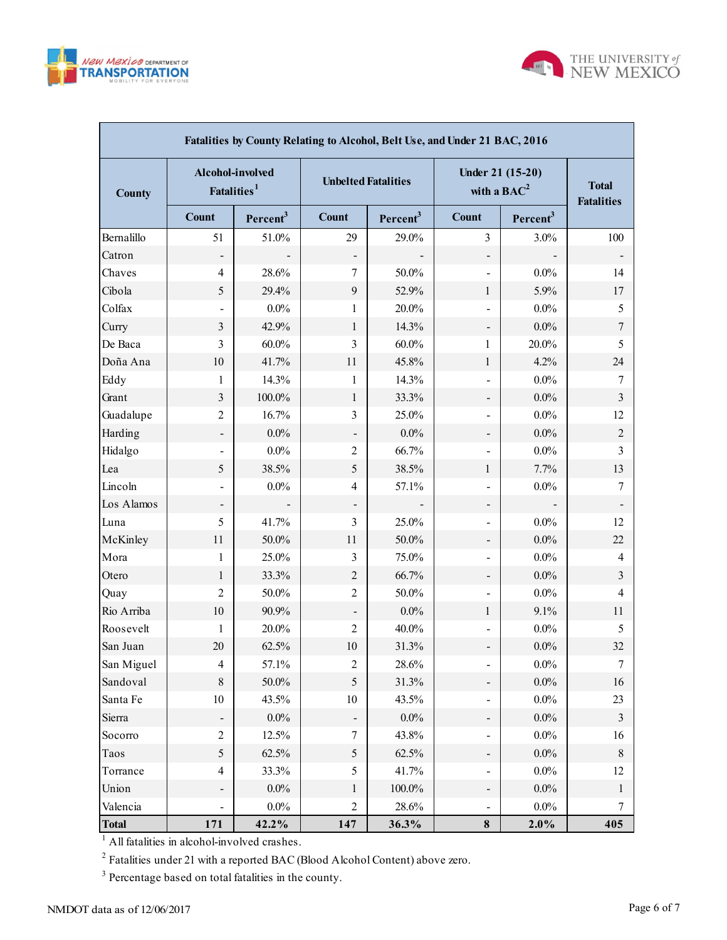



| Fatalities by County Relating to Alcohol, Belt Use, and Under 21 BAC, 2016 |                                             |                      |                            |                      |                                    |                                   |                |  |  |  |  |  |
|----------------------------------------------------------------------------|---------------------------------------------|----------------------|----------------------------|----------------------|------------------------------------|-----------------------------------|----------------|--|--|--|--|--|
| <b>County</b>                                                              | Alcohol-involved<br>Fatalities <sup>1</sup> |                      | <b>Unbelted Fatalities</b> |                      | Under 21 (15-20)<br>with a $BAC^2$ | <b>Total</b><br><b>Fatalities</b> |                |  |  |  |  |  |
|                                                                            | <b>Count</b>                                | Percent <sup>3</sup> | <b>Count</b>               | Percent <sup>3</sup> | <b>Count</b>                       | Percent <sup>3</sup>              |                |  |  |  |  |  |
| Bernalillo                                                                 | 51                                          | 51.0%                | 29                         | 29.0%                | 3                                  | 3.0%                              | 100            |  |  |  |  |  |
| Catron                                                                     |                                             |                      |                            |                      | $\overline{\phantom{a}}$           |                                   |                |  |  |  |  |  |
| Chaves                                                                     | $\overline{4}$                              | 28.6%                | 7                          | 50.0%                | $\overline{\phantom{a}}$           | $0.0\%$                           | 14             |  |  |  |  |  |
| Cibola                                                                     | 5                                           | 29.4%                | 9                          | 52.9%                | $\mathbf{1}$                       | 5.9%                              | 17             |  |  |  |  |  |
| Colfax                                                                     |                                             | $0.0\%$              | 1                          | 20.0%                | $\qquad \qquad \blacksquare$       | $0.0\%$                           | 5              |  |  |  |  |  |
| Curry                                                                      | 3                                           | 42.9%                | $\mathbf{1}$               | 14.3%                | $\qquad \qquad \blacksquare$       | $0.0\%$                           | $\tau$         |  |  |  |  |  |
| De Baca                                                                    | 3                                           | $60.0\%$             | 3                          | $60.0\%$             | 1                                  | 20.0%                             | 5              |  |  |  |  |  |
| Doña Ana                                                                   | 10                                          | 41.7%                | 11                         | 45.8%                | $\mathbf{1}$                       | 4.2%                              | 24             |  |  |  |  |  |
| Eddy                                                                       | 1                                           | 14.3%                | 1                          | 14.3%                | $\overline{\phantom{a}}$           | $0.0\%$                           | 7              |  |  |  |  |  |
| Grant                                                                      | 3                                           | 100.0%               | $\mathbf{1}$               | 33.3%                | $\qquad \qquad \blacksquare$       | $0.0\%$                           | $\mathfrak{Z}$ |  |  |  |  |  |
| Guadalupe                                                                  | 2                                           | 16.7%                | 3                          | 25.0%                | $\overline{\phantom{a}}$           | $0.0\%$                           | 12             |  |  |  |  |  |
| Harding                                                                    |                                             | $0.0\%$              |                            | $0.0\%$              | $\qquad \qquad \blacksquare$       | $0.0\%$                           | $\sqrt{2}$     |  |  |  |  |  |
| Hidalgo                                                                    |                                             | $0.0\%$              | $\overline{2}$             | 66.7%                | $\overline{\phantom{a}}$           | $0.0\%$                           | 3              |  |  |  |  |  |
| Lea                                                                        | 5                                           | 38.5%                | 5                          | 38.5%                | 1                                  | 7.7%                              | 13             |  |  |  |  |  |
| Lincoln                                                                    | $\overline{\phantom{a}}$                    | $0.0\%$              | 4                          | 57.1%                | $\qquad \qquad \blacksquare$       | $0.0\%$                           | 7              |  |  |  |  |  |
| Los Alamos                                                                 |                                             |                      |                            |                      | $\qquad \qquad \blacksquare$       |                                   |                |  |  |  |  |  |
| Luna                                                                       | 5                                           | 41.7%                | 3                          | 25.0%                | $\overline{\phantom{a}}$           | $0.0\%$                           | 12             |  |  |  |  |  |
| McKinley                                                                   | 11                                          | 50.0%                | 11                         | 50.0%                | $\qquad \qquad \blacksquare$       | $0.0\%$                           | 22             |  |  |  |  |  |
| Mora                                                                       | 1                                           | 25.0%                | 3                          | 75.0%                | $\overline{\phantom{a}}$           | $0.0\%$                           | 4              |  |  |  |  |  |
| Otero                                                                      | 1                                           | 33.3%                | $\overline{2}$             | 66.7%                | $\overline{\phantom{a}}$           | $0.0\%$                           | $\overline{3}$ |  |  |  |  |  |
| Quay                                                                       | 2                                           | 50.0%                | $\overline{2}$             | 50.0%                | $\overline{\phantom{a}}$           | $0.0\%$                           | 4              |  |  |  |  |  |
| Rio Arriba                                                                 | 10                                          | 90.9%                |                            | $0.0\%$              | 1                                  | 9.1%                              | 11             |  |  |  |  |  |
| Roosevelt                                                                  | 1                                           | 20.0%                | $\overline{2}$             | 40.0%                | $\overline{\phantom{a}}$           | $0.0\%$                           | 5              |  |  |  |  |  |
| San Juan                                                                   | 20                                          | 62.5%                | 10                         | 31.3%                |                                    | $0.0\%$                           | 32             |  |  |  |  |  |
| San Miguel                                                                 | 4                                           | 57.1%                | 2                          | 28.6%                | $\overline{\phantom{0}}$           | $0.0\%$                           |                |  |  |  |  |  |
| Sandoval                                                                   | $\,8\,$                                     | $50.0\%$             | 5                          | 31.3%                | $\overline{\phantom{a}}$           | $0.0\%$                           | 16             |  |  |  |  |  |
| Santa Fe                                                                   | $10\,$                                      | 43.5%                | $10\,$                     | 43.5%                | $\overline{\phantom{a}}$           | $0.0\%$                           | 23             |  |  |  |  |  |
| Sierra                                                                     |                                             | $0.0\%$              |                            | $0.0\%$              | $\overline{\phantom{0}}$           | $0.0\%$                           | $\mathfrak{Z}$ |  |  |  |  |  |
| Socorro                                                                    | $\sqrt{2}$                                  | 12.5%                | $\boldsymbol{7}$           | 43.8%                | $\overline{\phantom{a}}$           | $0.0\%$                           | 16             |  |  |  |  |  |
| Taos                                                                       | 5                                           | 62.5%                | $\sqrt{5}$                 | 62.5%                | $\qquad \qquad \blacksquare$       | $0.0\%$                           | 8              |  |  |  |  |  |
| Torrance                                                                   | 4                                           | 33.3%                | 5                          | 41.7%                | $\overline{\phantom{a}}$           | $0.0\%$                           | 12             |  |  |  |  |  |
| Union                                                                      |                                             | $0.0\%$              | 1                          | $100.0\%$            | $\overline{\phantom{0}}$           | $0.0\%$                           | 1              |  |  |  |  |  |
| Valencia                                                                   |                                             | $0.0\%$              | $\mathfrak{2}$             | 28.6%                | $\qquad \qquad \blacksquare$       | $0.0\%$                           | 7              |  |  |  |  |  |
| <b>Total</b>                                                               | 171                                         | 42.2%                | 147                        | 36.3%                | 8                                  | 2.0%                              | 405            |  |  |  |  |  |

 $2^2$  Fatalities under 21 with a reported BAC (Blood Alcohol Content) above zero.

<sup>3</sup> Percentage based on total fatalities in the county.